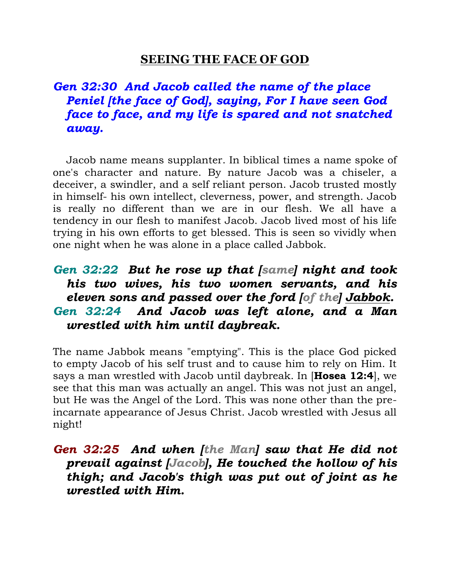### **SEEING THE FACE OF GOD**

# *Gen 32:30 And Jacob called the name of the place Peniel [the face of God], saying, For I have seen God face to face, and my life is spared and not snatched away.*

 Jacob name means supplanter. In biblical times a name spoke of one's character and nature. By nature Jacob was a chiseler, a deceiver, a swindler, and a self reliant person. Jacob trusted mostly in himself- his own intellect, cleverness, power, and strength. Jacob is really no different than we are in our flesh. We all have a tendency in our flesh to manifest Jacob. Jacob lived most of his life trying in his own efforts to get blessed. This is seen so vividly when one night when he was alone in a place called Jabbok.

## *Gen 32:22 But he rose up that [same] night and took his two wives, his two women servants, and his eleven sons and passed over the ford [of the] Jabbok. Gen 32:24 And Jacob was left alone, and a Man wrestled with him until daybreak.*

The name Jabbok means "emptying". This is the place God picked to empty Jacob of his self trust and to cause him to rely on Him. It says a man wrestled with Jacob until daybreak. In [**Hosea 12:4**], we see that this man was actually an angel. This was not just an angel, but He was the Angel of the Lord. This was none other than the preincarnate appearance of Jesus Christ. Jacob wrestled with Jesus all night!

### *Gen 32:25 And when [the Man] saw that He did not prevail against [Jacob], He touched the hollow of his thigh; and Jacob's thigh was put out of joint as he wrestled with Him.*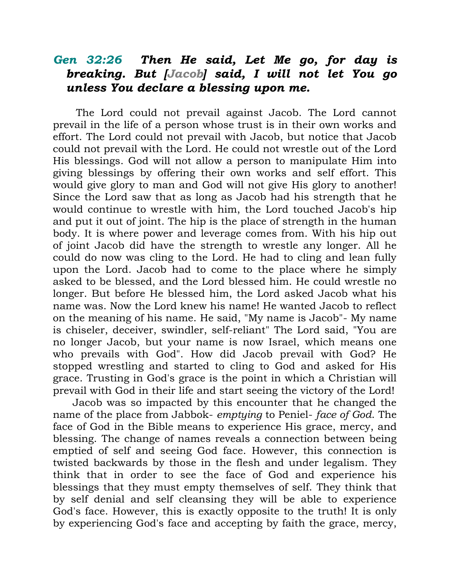### *Gen 32:26 Then He said, Let Me go, for day is breaking. But [Jacob] said, I will not let You go unless You declare a blessing upon me.*

 The Lord could not prevail against Jacob. The Lord cannot prevail in the life of a person whose trust is in their own works and effort. The Lord could not prevail with Jacob, but notice that Jacob could not prevail with the Lord. He could not wrestle out of the Lord His blessings. God will not allow a person to manipulate Him into giving blessings by offering their own works and self effort. This would give glory to man and God will not give His glory to another! Since the Lord saw that as long as Jacob had his strength that he would continue to wrestle with him, the Lord touched Jacob's hip and put it out of joint. The hip is the place of strength in the human body. It is where power and leverage comes from. With his hip out of joint Jacob did have the strength to wrestle any longer. All he could do now was cling to the Lord. He had to cling and lean fully upon the Lord. Jacob had to come to the place where he simply asked to be blessed, and the Lord blessed him. He could wrestle no longer. But before He blessed him, the Lord asked Jacob what his name was. Now the Lord knew his name! He wanted Jacob to reflect on the meaning of his name. He said, "My name is Jacob"- My name is chiseler, deceiver, swindler, self-reliant" The Lord said, "You are no longer Jacob, but your name is now Israel, which means one who prevails with God". How did Jacob prevail with God? He stopped wrestling and started to cling to God and asked for His grace. Trusting in God's grace is the point in which a Christian will prevail with God in their life and start seeing the victory of the Lord!

 Jacob was so impacted by this encounter that he changed the name of the place from Jabbok- *emptying* to Peniel- *face of God*. The face of God in the Bible means to experience His grace, mercy, and blessing. The change of names reveals a connection between being emptied of self and seeing God face. However, this connection is twisted backwards by those in the flesh and under legalism. They think that in order to see the face of God and experience his blessings that they must empty themselves of self. They think that by self denial and self cleansing they will be able to experience God's face. However, this is exactly opposite to the truth! It is only by experiencing God's face and accepting by faith the grace, mercy,